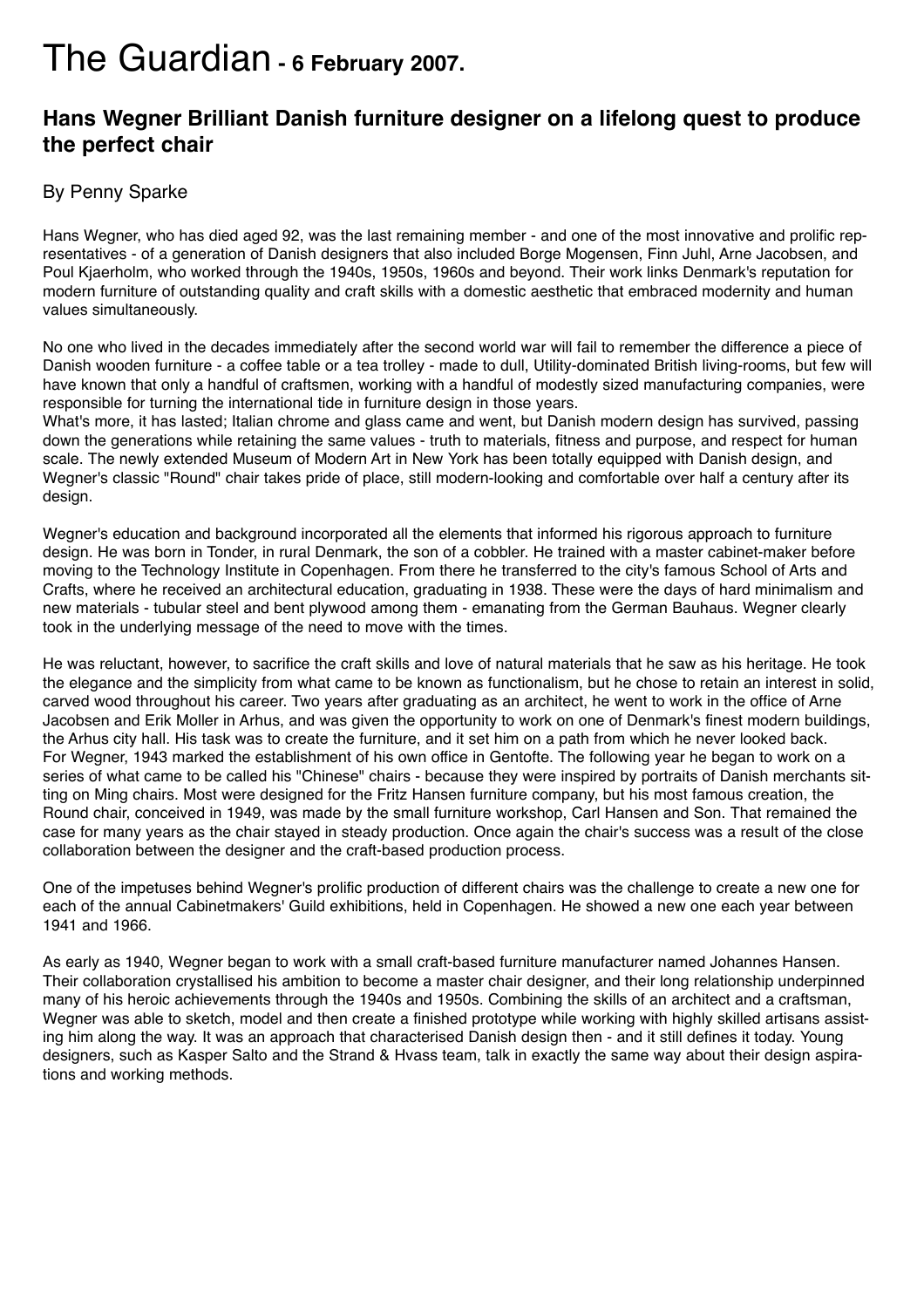## The Guardian **- 6 February 2007.**

## **Hans Wegner Brilliant Danish furniture designer on a lifelong quest to produce the perfect chair**

## By Penny Sparke

Hans Wegner, who has died aged 92, was the last remaining member - and one of the most innovative and prolific representatives - of a generation of Danish designers that also included Borge Mogensen, Finn Juhl, Arne Jacobsen, and Poul Kjaerholm, who worked through the 1940s, 1950s, 1960s and beyond. Their work links Denmark's reputation for modern furniture of outstanding quality and craft skills with a domestic aesthetic that embraced modernity and human values simultaneously.

No one who lived in the decades immediately after the second world war will fail to remember the difference a piece of Danish wooden furniture - a coffee table or a tea trolley - made to dull, Utility-dominated British living-rooms, but few will have known that only a handful of craftsmen, working with a handful of modestly sized manufacturing companies, were responsible for turning the international tide in furniture design in those years.

What's more, it has lasted; Italian chrome and glass came and went, but Danish modern design has survived, passing down the generations while retaining the same values - truth to materials, fitness and purpose, and respect for human scale. The newly extended Museum of Modern Art in New York has been totally equipped with Danish design, and Wegner's classic "Round" chair takes pride of place, still modern-looking and comfortable over half a century after its design.

Wegner's education and background incorporated all the elements that informed his rigorous approach to furniture design. He was born in Tonder, in rural Denmark, the son of a cobbler. He trained with a master cabinet-maker before moving to the Technology Institute in Copenhagen. From there he transferred to the city's famous School of Arts and Crafts, where he received an architectural education, graduating in 1938. These were the days of hard minimalism and new materials - tubular steel and bent plywood among them - emanating from the German Bauhaus. Wegner clearly took in the underlying message of the need to move with the times.

He was reluctant, however, to sacrifice the craft skills and love of natural materials that he saw as his heritage. He took the elegance and the simplicity from what came to be known as functionalism, but he chose to retain an interest in solid, carved wood throughout his career. Two years after graduating as an architect, he went to work in the office of Arne Jacobsen and Erik Moller in Arhus, and was given the opportunity to work on one of Denmark's finest modern buildings, the Arhus city hall. His task was to create the furniture, and it set him on a path from which he never looked back. For Wegner, 1943 marked the establishment of his own office in Gentofte. The following year he began to work on a series of what came to be called his "Chinese" chairs - because they were inspired by portraits of Danish merchants sitting on Ming chairs. Most were designed for the Fritz Hansen furniture company, but his most famous creation, the Round chair, conceived in 1949, was made by the small furniture workshop, Carl Hansen and Son. That remained the case for many years as the chair stayed in steady production. Once again the chair's success was a result of the close collaboration between the designer and the craft-based production process.

One of the impetuses behind Wegner's prolific production of different chairs was the challenge to create a new one for each of the annual Cabinetmakers' Guild exhibitions, held in Copenhagen. He showed a new one each year between 1941 and 1966.

As early as 1940, Wegner began to work with a small craft-based furniture manufacturer named Johannes Hansen. Their collaboration crystallised his ambition to become a master chair designer, and their long relationship underpinned many of his heroic achievements through the 1940s and 1950s. Combining the skills of an architect and a craftsman, Wegner was able to sketch, model and then create a finished prototype while working with highly skilled artisans assisting him along the way. It was an approach that characterised Danish design then - and it still defines it today. Young designers, such as Kasper Salto and the Strand & Hvass team, talk in exactly the same way about their design aspirations and working methods.